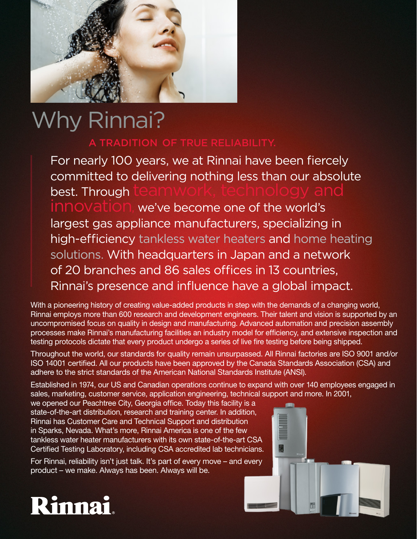

# Why Rinnai?

### A TRADITION OF TRUE RELIABILITY.

For nearly 100 years, we at Rinnai have been fiercely committed to delivering nothing less than our absolute best. Through we've become one of the world's largest gas appliance manufacturers, specializing in high-efficiency tankless water heaters and home heating solutions. With headquarters in Japan and a network of 20 branches and 86 sales offices in 13 countries, Rinnai's presence and influence have a global impact.

With a pioneering history of creating value-added products in step with the demands of a changing world, Rinnai employs more than 600 research and development engineers. Their talent and vision is supported by an uncompromised focus on quality in design and manufacturing. Advanced automation and precision assembly processes make Rinnai's manufacturing facilities an industry model for efficiency, and extensive inspection and testing protocols dictate that every product undergo a series of live fire testing before being shipped.

Throughout the world, our standards for quality remain unsurpassed. All Rinnai factories are ISO 9001 and/or ISO 14001 certified. All our products have been approved by the Canada Standards Association (CSA) and adhere to the strict standards of the American National Standards Institute (ANSI).

Established in 1974, our US and Canadian operations continue to expand with over 140 employees engaged in sales, marketing, customer service, application engineering, technical support and more. In 2001,

we opened our Peachtree City, Georgia office. Today this facility is a state-of-the-art distribution, research and training center. In addition, Rinnai has Customer Care and Technical Support and distribution in Sparks, Nevada. What's more, Rinnai America is one of the few tankless water heater manufacturers with its own state-of-the-art CSA Certified Testing Laboratory, including CSA accredited lab technicians.

For Rinnai, reliability isn't just talk. It's part of every move – and every product – we make. Always has been. Always will be.



# Rinnai.